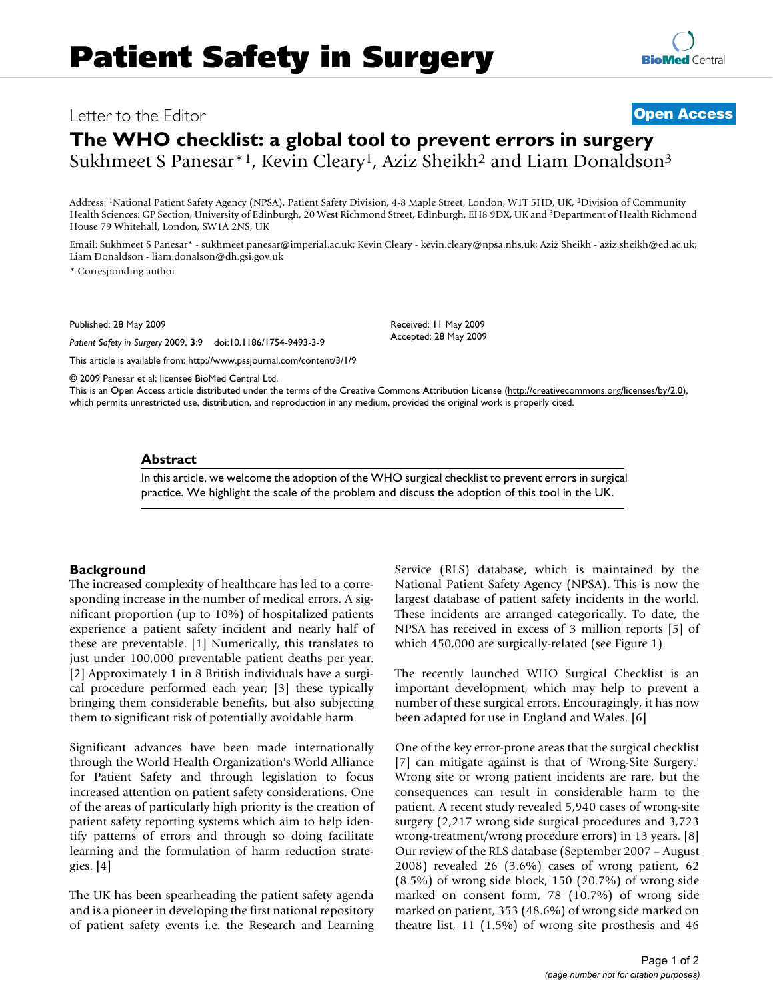# Letter to the Editor **[Open Access](http://www.biomedcentral.com/info/about/charter/)**

# **The WHO checklist: a global tool to prevent errors in surgery** Sukhmeet S Panesar<sup>\*1</sup>, Kevin Cleary<sup>1</sup>, Aziz Sheikh<sup>2</sup> and Liam Donaldson<sup>3</sup>

Address: 1National Patient Safety Agency (NPSA), Patient Safety Division, 4-8 Maple Street, London, W1T 5HD, UK, 2Division of Community Health Sciences: GP Section, University of Edinburgh, 20 West Richmond Street, Edinburgh, EH8 9DX, UK and 3Department of Health Richmond House 79 Whitehall, London, SW1A 2NS, UK

Email: Sukhmeet S Panesar\* - sukhmeet.panesar@imperial.ac.uk; Kevin Cleary - kevin.cleary@npsa.nhs.uk; Aziz Sheikh - aziz.sheikh@ed.ac.uk; Liam Donaldson - liam.donalson@dh.gsi.gov.uk

> Received: 11 May 2009 Accepted: 28 May 2009

\* Corresponding author

Published: 28 May 2009

*Patient Safety in Surgery* 2009, **3**:9 doi:10.1186/1754-9493-3-9

[This article is available from: http://www.pssjournal.com/content/3/1/9](http://www.pssjournal.com/content/3/1/9)

© 2009 Panesar et al; licensee BioMed Central Ltd.

This is an Open Access article distributed under the terms of the Creative Commons Attribution License [\(http://creativecommons.org/licenses/by/2.0\)](http://creativecommons.org/licenses/by/2.0), which permits unrestricted use, distribution, and reproduction in any medium, provided the original work is properly cited.

### **Abstract**

In this article, we welcome the adoption of the WHO surgical checklist to prevent errors in surgical practice. We highlight the scale of the problem and discuss the adoption of this tool in the UK.

# **Background**

The increased complexity of healthcare has led to a corresponding increase in the number of medical errors. A significant proportion (up to 10%) of hospitalized patients experience a patient safety incident and nearly half of these are preventable. [\[1](#page-1-0)] Numerically, this translates to just under 100,000 preventable patient deaths per year. [[2\]](#page-1-1) Approximately 1 in 8 British individuals have a surgical procedure performed each year; [\[3\]](#page-1-2) these typically bringing them considerable benefits, but also subjecting them to significant risk of potentially avoidable harm.

Significant advances have been made internationally through the World Health Organization's World Alliance for Patient Safety and through legislation to focus increased attention on patient safety considerations. One of the areas of particularly high priority is the creation of patient safety reporting systems which aim to help identify patterns of errors and through so doing facilitate learning and the formulation of harm reduction strategies. [\[4\]](#page-1-3)

The UK has been spearheading the patient safety agenda and is a pioneer in developing the first national repository of patient safety events i.e. the Research and Learning Service (RLS) database, which is maintained by the National Patient Safety Agency (NPSA). This is now the largest database of patient safety incidents in the world. These incidents are arranged categorically. To date, the NPSA has received in excess of 3 million reports [[5](#page-1-4)] of which 450,000 are surgically-related (see Figure [1](#page-1-5)).

The recently launched WHO Surgical Checklist is an important development, which may help to prevent a number of these surgical errors. Encouragingly, it has now been adapted for use in England and Wales. [[6](#page-1-6)]

One of the key error-prone areas that the surgical checklist [[7\]](#page-1-7) can mitigate against is that of 'Wrong-Site Surgery.' Wrong site or wrong patient incidents are rare, but the consequences can result in considerable harm to the patient. A recent study revealed 5,940 cases of wrong-site surgery (2,217 wrong side surgical procedures and 3,723 wrong-treatment/wrong procedure errors) in 13 years. [\[8\]](#page-1-8) Our review of the RLS database (September 2007 – August 2008) revealed 26 (3.6%) cases of wrong patient, 62 (8.5%) of wrong side block, 150 (20.7%) of wrong side marked on consent form, 78 (10.7%) of wrong side marked on patient, 353 (48.6%) of wrong side marked on theatre list, 11 (1.5%) of wrong site prosthesis and 46